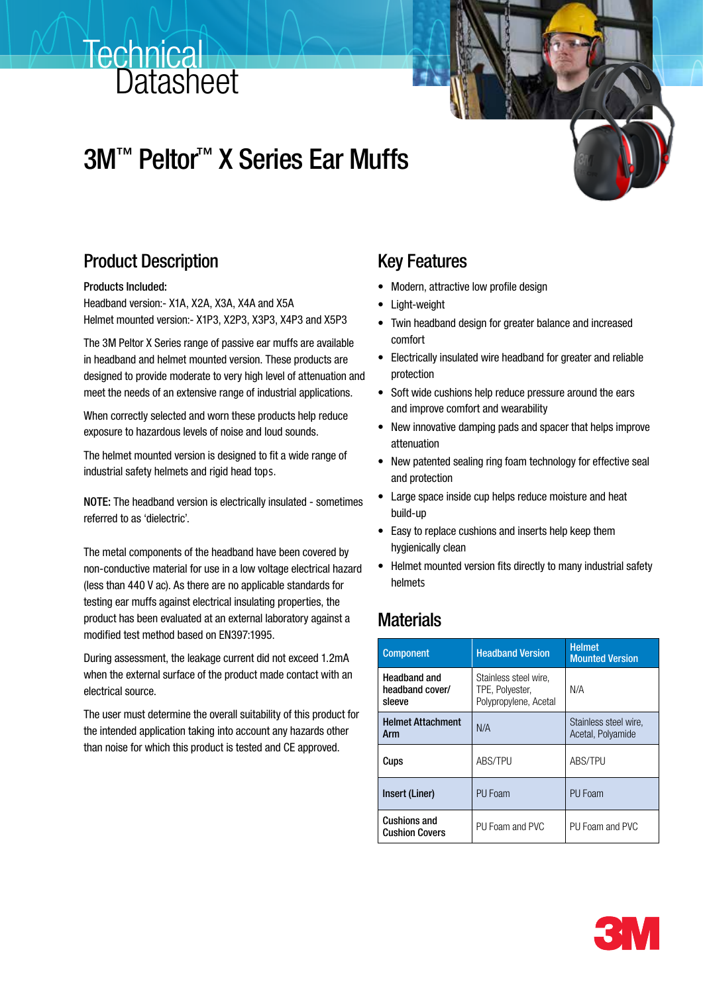# **Technical Datasheet**

# 3M™ Peltor™ X Series Ear Muffs



## Product Description

Products Included:

Headband version:- X1A, X2A, X3A, X4A and X5A Helmet mounted version:- X1P3, X2P3, X3P3, X4P3 and X5P3

The 3M Peltor X Series range of passive ear muffs are available in headband and helmet mounted version. These products are designed to provide moderate to very high level of attenuation and meet the needs of an extensive range of industrial applications.

When correctly selected and worn these products help reduce exposure to hazardous levels of noise and loud sounds.

The helmet mounted version is designed to fit a wide range of industrial safety helmets and rigid head tops.

NOTE: The headband version is electrically insulated - sometimes referred to as 'dielectric'.

The metal components of the headband have been covered by non-conductive material for use in a low voltage electrical hazard (less than 440 V ac). As there are no applicable standards for testing ear muffs against electrical insulating properties, the product has been evaluated at an external laboratory against a modified test method based on EN397:1995.

During assessment, the leakage current did not exceed 1.2mA when the external surface of the product made contact with an electrical source.

The user must determine the overall suitability of this product for the intended application taking into account any hazards other than noise for which this product is tested and CE approved.

### Key Features

- Modern, attractive low profile design
- • Light-weight
- Twin headband design for greater balance and increased comfort
- Electrically insulated wire headband for greater and reliable protection
- Soft wide cushions help reduce pressure around the ears and improve comfort and wearability
- New innovative damping pads and spacer that helps improve attenuation
- New patented sealing ring foam technology for effective seal and protection
- • Large space inside cup helps reduce moisture and heat build-up
- Easy to replace cushions and inserts help keep them hygienically clean
- Helmet mounted version fits directly to many industrial safety helmet s

## **Materials**

| <b>Component</b>                                 | <b>Headband Version</b>                                           | <b>Helmet</b><br><b>Mounted Version</b>    |
|--------------------------------------------------|-------------------------------------------------------------------|--------------------------------------------|
| <b>Headband and</b><br>headband cover/<br>sleeve | Stainless steel wire,<br>TPE, Polyester,<br>Polypropylene, Acetal | N/A                                        |
| <b>Helmet Attachment</b><br>Arm                  | N/A                                                               | Stainless steel wire,<br>Acetal, Polyamide |
| Cups                                             | <b>ABS/TPU</b>                                                    | <b>ABS/TPU</b>                             |
| Insert (Liner)                                   | PU Foam                                                           | PU Foam                                    |
| <b>Cushions and</b><br><b>Cushion Covers</b>     | PU Foam and PVC                                                   | PU Foam and PVC                            |

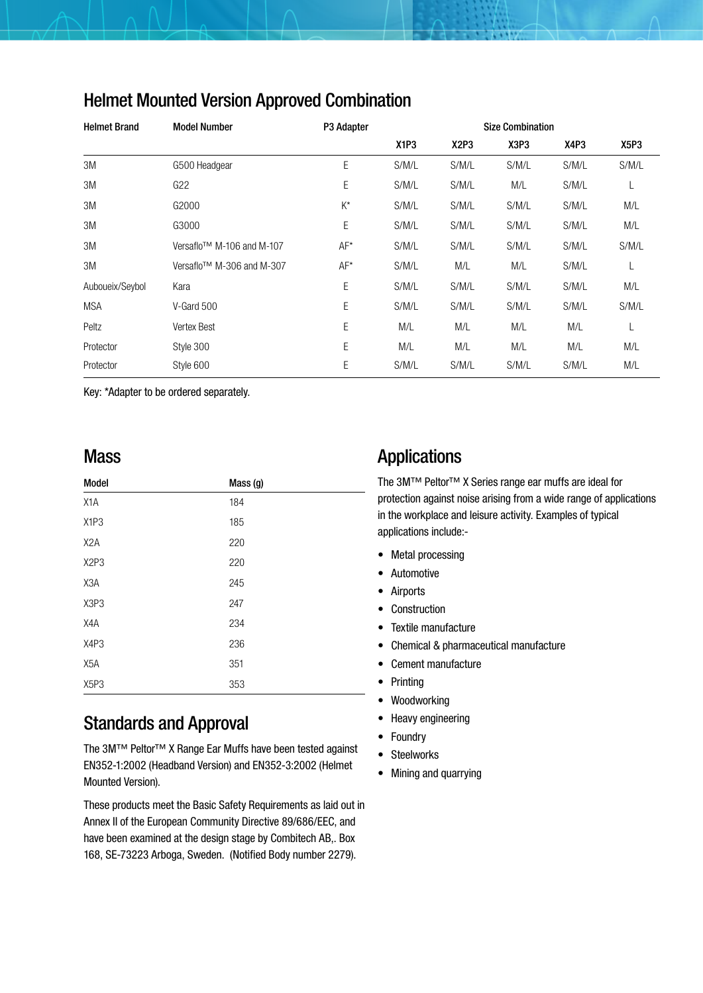| <b>Helmet Brand</b> | <b>Model Number</b>                   | P3 Adapter |                               |                               | <b>Size Combination</b> |       |       |
|---------------------|---------------------------------------|------------|-------------------------------|-------------------------------|-------------------------|-------|-------|
|                     |                                       |            | X <sub>1</sub> P <sub>3</sub> | X <sub>2</sub> P <sub>3</sub> | X3P3                    | X4P3  | X5P3  |
| 3M                  | G500 Headgear                         | E          | S/M/L                         | S/M/L                         | S/M/L                   | S/M/L | S/M/L |
| 3M                  | G22                                   | Ε          | S/M/L                         | S/M/L                         | M/L                     | S/M/L | L     |
| 3M                  | G2000                                 | $K^*$      | S/M/L                         | S/M/L                         | S/M/L                   | S/M/L | M/L   |
| 3M                  | G3000                                 | Ε          | S/M/L                         | S/M/L                         | S/M/L                   | S/M/L | M/L   |
| 3M                  | Versaflo <sup>™</sup> M-106 and M-107 | $AF*$      | S/M/L                         | S/M/L                         | S/M/L                   | S/M/L | S/M/L |
| 3M                  | Versaflo <sup>™</sup> M-306 and M-307 | $AF*$      | S/M/L                         | M/L                           | M/L                     | S/M/L | L     |
| Auboueix/Seybol     | Kara                                  | Ε          | S/M/L                         | S/M/L                         | S/M/L                   | S/M/L | M/L   |
| <b>MSA</b>          | V-Gard 500                            | Ε          | S/M/L                         | S/M/L                         | S/M/L                   | S/M/L | S/M/L |
| Peltz               | <b>Vertex Best</b>                    | E          | M/L                           | M/L                           | M/L                     | M/L   | L     |
| Protector           | Style 300                             | Ε          | M/L                           | M/L                           | M/L                     | M/L   | M/L   |
| Protector           | Style 600                             | E          | S/M/L                         | S/M/L                         | S/M/L                   | S/M/L | M/L   |

### Helmet Mounted Version Approved Combination

Key: \*Adapter to be ordered separately.

### **Mass**

| Model                         | Mass (g) |  |
|-------------------------------|----------|--|
| X <sub>1</sub> A              | 184      |  |
| X <sub>1</sub> P <sub>3</sub> | 185      |  |
| X <sub>2</sub> A              | 220      |  |
| X <sub>2</sub> P <sub>3</sub> | 220      |  |
| X3A                           | 245      |  |
| X3P3                          | 247      |  |
| X4A                           | 234      |  |
| X4P3                          | 236      |  |
| X <sub>5</sub> A              | 351      |  |
| X <sub>5</sub> P <sub>3</sub> | 353      |  |

## Standards and Approval

The 3M™ Peltor™ X Range Ear Muffs have been tested against EN352-1:2002 (Headband Version) and EN352-3:2002 (Helmet Mounted Version).

These products meet the Basic Safety Requirements as laid out in Annex II of the European Community Directive 89/686/EEC, and have been examined at the design stage by Combitech AB,. Box 168, SE-73223 Arboga, Sweden. (Notified Body number 2279).

## Applications

The 3M™ Peltor™ X Series range ear muffs are ideal for protection against noise arising from a wide range of applications in the workplace and leisure activity. Examples of typical applications include:-

- Metal processing
- • Automotive
- • Airports
- • Construction
- • Textile manufacture
- • Chemical & pharmaceutical manufacture
- • Cement manufacture
- • Printing
- • Woodworking
- Heavy engineering
- Foundry
- • Steelworks
- Mining and quarrying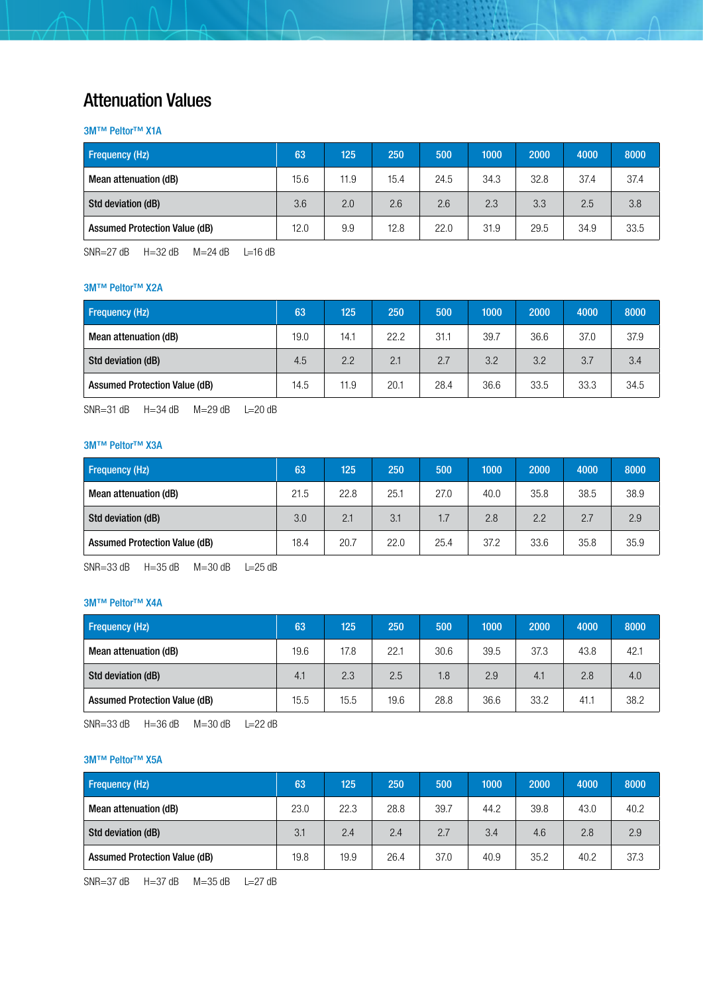### Attenuation Values

#### 3M™ Peltor™ X1A

| <b>Frequency (Hz)</b>                | 63   | 125  | 250  | 500  | 1000 | 2000 | 4000 | 8000 |
|--------------------------------------|------|------|------|------|------|------|------|------|
| Mean attenuation (dB)                | 15.6 | 11.9 | 15.4 | 24.5 | 34.3 | 32.8 | 37.4 | 37.4 |
| Std deviation (dB)                   | 3.6  | 2.0  | 2.6  | 2.6  | 2.3  | 3.3  | 2.5  | 3.8  |
| <b>Assumed Protection Value (dB)</b> | 12.0 | 9.9  | 12.8 | 22.0 | 31.9 | 29.5 | 34.9 | 33.5 |

**The State** 

o a c

SNR=27 dB H=32 dB M=24 dB L=16 dB

#### 3M™ Peltor™ X2A

| <b>Frequency (Hz)</b>                | 63   | 125  | 250  | 500  | 1000 | 2000 | 4000 | 8000 |
|--------------------------------------|------|------|------|------|------|------|------|------|
| Mean attenuation (dB)                | 19.0 | 14.1 | 22.2 | 31.1 | 39.7 | 36.6 | 37.0 | 37.9 |
| Std deviation (dB)                   | 4.5  | 2.2  | 2.1  | 2.7  | 3.2  | 3.2  | 3.7  | 3.4  |
| <b>Assumed Protection Value (dB)</b> | 14.5 | 11.9 | 20.1 | 28.4 | 36.6 | 33.5 | 33.3 | 34.5 |

SNR=31 dB H=34 dB M=29 dB L=20 dB

#### 3M™ Peltor™ X3A

| <b>Frequency (Hz)</b>                | 63   | 125  | 250  | 500  | 1000 | 2000 | 4000 | 8000 |
|--------------------------------------|------|------|------|------|------|------|------|------|
| Mean attenuation (dB)                | 21.5 | 22.8 | 25.1 | 27.0 | 40.0 | 35.8 | 38.5 | 38.9 |
| Std deviation (dB)                   | 3.0  | 2.1  | 3.1  | 1.7  | 2.8  | 2.2  | 2.7  | 2.9  |
| <b>Assumed Protection Value (dB)</b> | 18.4 | 20.7 | 22.0 | 25.4 | 37.2 | 33.6 | 35.8 | 35.9 |

SNR=33 dB H=35 dB M=30 dB L=25 dB

#### 3M™ Peltor™ X4A

| <b>Frequency (Hz)</b>                | 63   | 125  | 250  | 500  | 1000 | 2000 | 4000 | 8000 |
|--------------------------------------|------|------|------|------|------|------|------|------|
| Mean attenuation (dB)                | 19.6 | 17.8 | 22.1 | 30.6 | 39.5 | 37.3 | 43.8 | 42.1 |
| Std deviation (dB)                   | 4.1  | 2.3  | 2.5  | 1.8  | 2.9  | 4.1  | 2.8  | 4.0  |
| <b>Assumed Protection Value (dB)</b> | 15.5 | 15.5 | 19.6 | 28.8 | 36.6 | 33.2 | 41.1 | 38.2 |

SNR=33 dB H=36 dB M=30 dB L=22 dB

#### 3M™ Peltor™ X5A

| Frequency (Hz)                       | 63   | 125  | 250  | 500  | 1000 | 2000 | 4000 | 8000 |
|--------------------------------------|------|------|------|------|------|------|------|------|
| Mean attenuation (dB)                | 23.0 | 22.3 | 28.8 | 39.7 | 44.2 | 39.8 | 43.0 | 40.2 |
| Std deviation (dB)                   | 3.1  | 2.4  | 2.4  | 2.7  | 3.4  | 4.6  | 2.8  | 2.9  |
| <b>Assumed Protection Value (dB)</b> | 19.8 | 19.9 | 26.4 | 37.0 | 40.9 | 35.2 | 40.2 | 37.3 |

SNR=37 dB H=37 dB M=35 dB L=27 dB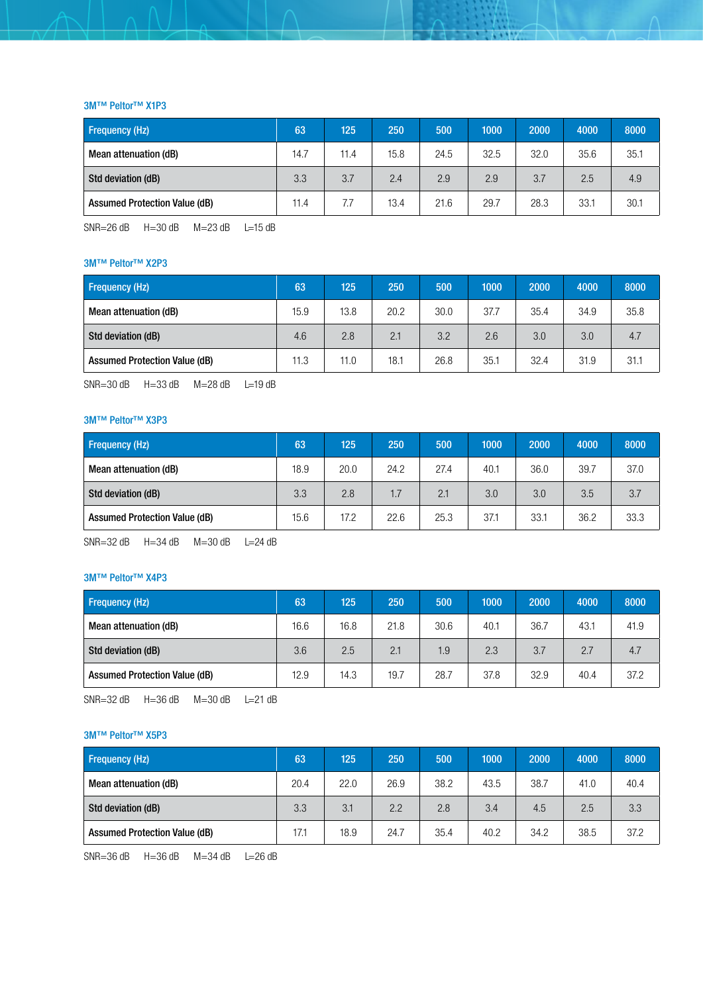#### 3M™ Peltor™ X1P3

| <b>Frequency (Hz)</b>                | 63   | 125  | 250  | 500  | 1000 | 2000 | 4000 | 8000 |
|--------------------------------------|------|------|------|------|------|------|------|------|
| Mean attenuation (dB)                | 14.7 | 11.4 | 15.8 | 24.5 | 32.5 | 32.0 | 35.6 | 35.1 |
| Std deviation (dB)                   | 3.3  | 3.7  | 2.4  | 2.9  | 2.9  | 3.7  | 2.5  | 4.9  |
| <b>Assumed Protection Value (dB)</b> | 11.4 | 7.7  | 13.4 | 21.6 | 29.7 | 28.3 | 33.1 | 30.1 |

**The State** 

o de la

SNR=26 dB  $H=30$  dB  $M=23$  dB  $L=15$  dB

#### 3M™ Peltor™ X2P3

| <b>Frequency (Hz)</b>                | 63   | 125  | 250  | 500  | 1000 | 2000 | 4000 | 8000 |
|--------------------------------------|------|------|------|------|------|------|------|------|
| Mean attenuation (dB)                | 15.9 | 13.8 | 20.2 | 30.0 | 37.7 | 35.4 | 34.9 | 35.8 |
| Std deviation (dB)                   | 4.6  | 2.8  | 2.1  | 3.2  | 2.6  | 3.0  | 3.0  | 4.7  |
| <b>Assumed Protection Value (dB)</b> | 11.3 | 11.0 | 18.1 | 26.8 | 35.1 | 32.4 | 31.9 | 31.1 |

SNR=30 dB H=33 dB M=28 dB L=19 dB

#### 3M™ Peltor™ X3P3

| Frequency (Hz)                       | 63   | 125  | 250  | 500  | 1000 | 2000 | 4000 | 8000 |
|--------------------------------------|------|------|------|------|------|------|------|------|
| Mean attenuation (dB)                | 18.9 | 20.0 | 24.2 | 27.4 | 40.1 | 36.0 | 39.7 | 37.0 |
| Std deviation (dB)                   | 3.3  | 2.8  | 1.7  | 2.1  | 3.0  | 3.0  | 3.5  | 3.7  |
| <b>Assumed Protection Value (dB)</b> | 15.6 | 17.2 | 22.6 | 25.3 | 37.1 | 33.1 | 36.2 | 33.3 |

SNR=32 dB  $H=34$  dB  $M=30$  dB  $L=24$  dB

#### 3M™ Peltor™ X4P3

| <b>Frequency (Hz)</b>                | 63   | 125  | 250  | 500  | 1000 | 2000 | 4000 | 8000 |
|--------------------------------------|------|------|------|------|------|------|------|------|
| Mean attenuation (dB)                | 16.6 | 16.8 | 21.8 | 30.6 | 40.1 | 36.7 | 43.1 | 41.9 |
| Std deviation (dB)                   | 3.6  | 2.5  | 2.1  | 1.9  | 2.3  | 3.7  | 2.7  | 4.7  |
| <b>Assumed Protection Value (dB)</b> | 12.9 | 14.3 | 19.7 | 28.7 | 37.8 | 32.9 | 40.4 | 37.2 |

SNR=32 dB H=36 dB M=30 dB L=21 dB

#### 3M™ Peltor™ X5P3

| <b>Frequency (Hz)</b>                | 63   | 125  | 250  | 500  | 1000 | 2000 | 4000 | 8000 |
|--------------------------------------|------|------|------|------|------|------|------|------|
| Mean attenuation (dB)                | 20.4 | 22.0 | 26.9 | 38.2 | 43.5 | 38.7 | 41.0 | 40.4 |
| Std deviation (dB)                   | 3.3  | 3.1  | 2.2  | 2.8  | 3.4  | 4.5  | 2.5  | 3.3  |
| <b>Assumed Protection Value (dB)</b> | 17.1 | 18.9 | 24.7 | 35.4 | 40.2 | 34.2 | 38.5 | 37.2 |

SNR=36 dB H=36 dB M=34 dB L=26 dB